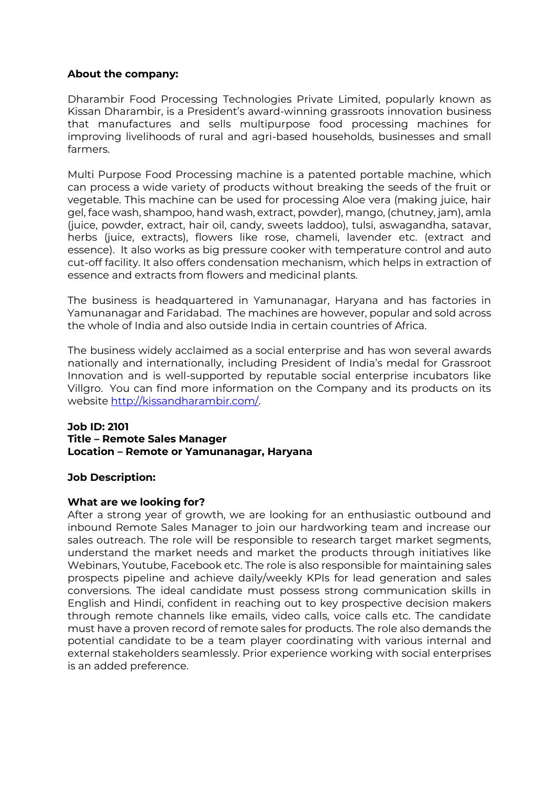# **About the company:**

Dharambir Food Processing Technologies Private Limited, popularly known as Kissan Dharambir, is a President's award-winning grassroots innovation business that manufactures and sells multipurpose food processing machines for improving livelihoods of rural and agri-based households, businesses and small farmers.

Multi Purpose Food Processing machine is a patented portable machine, which can process a wide variety of products without breaking the seeds of the fruit or vegetable. This machine can be used for processing Aloe vera (making juice, hair gel, face wash, shampoo, hand wash, extract, powder), mango, (chutney, jam), amla (juice, powder, extract, hair oil, candy, sweets laddoo), tulsi, aswagandha, satavar, herbs (juice, extracts), flowers like rose, chameli, lavender etc. (extract and essence). It also works as big pressure cooker with temperature control and auto cut-off facility. It also offers condensation mechanism, which helps in extraction of essence and extracts from flowers and medicinal plants.

The business is headquartered in Yamunanagar, Haryana and has factories in Yamunanagar and Faridabad. The machines are however, popular and sold across the whole of India and also outside India in certain countries of Africa.

The business widely acclaimed as a social enterprise and has won several awards nationally and internationally, including President of India's medal for Grassroot Innovation and is well-supported by reputable social enterprise incubators like Villgro. You can find more information on the Company and its products on its website [http://kissandharambir.com/.](http://kissandharambir.com/)

#### **Job ID: 2101 Title – Remote Sales Manager Location – Remote or Yamunanagar, Haryana**

# **Job Description:**

# **What are we looking for?**

After a strong year of growth, we are looking for an enthusiastic outbound and inbound Remote Sales Manager to join our hardworking team and increase our sales outreach. The role will be responsible to research target market segments, understand the market needs and market the products through initiatives like Webinars, Youtube, Facebook etc. The role is also responsible for maintaining sales prospects pipeline and achieve daily/weekly KPIs for lead generation and sales conversions. The ideal candidate must possess strong communication skills in English and Hindi, confident in reaching out to key prospective decision makers through remote channels like emails, video calls, voice calls etc. The candidate must have a proven record of remote sales for products. The role also demands the potential candidate to be a team player coordinating with various internal and external stakeholders seamlessly. Prior experience working with social enterprises is an added preference.